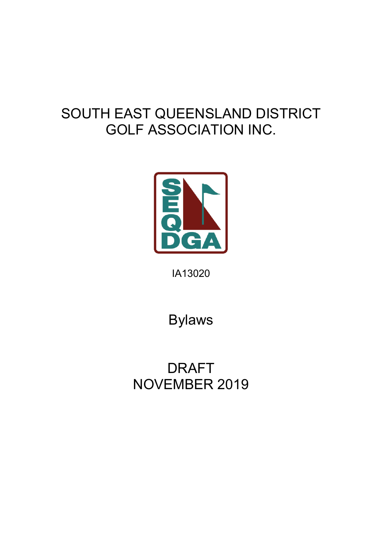# SOUTH EAST QUEENSLAND DISTRICT GOLF ASSOCIATION INC.



IA13020

Bylaws

DRAFT NOVEMBER 2019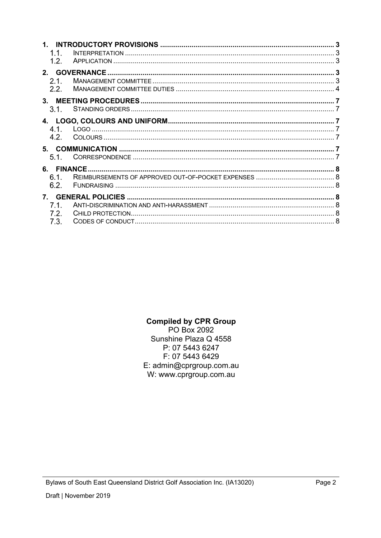| $1 \quad$<br>1.1.<br>1.2.      |  |  |
|--------------------------------|--|--|
| 2.1.                           |  |  |
| 2.2.                           |  |  |
| 3 <sub>1</sub><br>3.1.         |  |  |
| 4.1.<br>4.2.                   |  |  |
| 5.1.                           |  |  |
| 6.<br>6.1.<br>6.2.             |  |  |
| $7_{\scriptscriptstyle{\sim}}$ |  |  |
| 7.1.<br>7.2.                   |  |  |
| 7.3.                           |  |  |

## **Compiled by CPR Group**

PO Box 2092 Sunshine Plaza Q 4558 P: 07 5443 6247 F: 07 5443 6429 E: admin@cprgroup.com.au W: www.cprgroup.com.au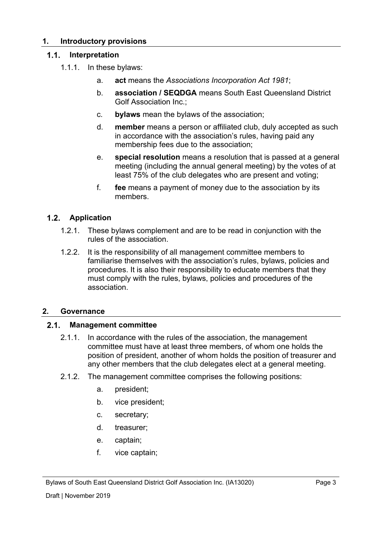#### **1. Introductory provisions**

#### $1.1.$ **Interpretation**

- 1.1.1. In these bylaws:
	- a. **act** means the *Associations Incorporation Act 1981*;
	- b. **association / SEQDGA** means South East Queensland District Golf Association Inc.;
	- c. **bylaws** mean the bylaws of the association;
	- d. **member** means a person or affiliated club, duly accepted as such in accordance with the association's rules, having paid any membership fees due to the association;
	- e. **special resolution** means a resolution that is passed at a general meeting (including the annual general meeting) by the votes of at least 75% of the club delegates who are present and voting;
	- f. **fee** means a payment of money due to the association by its members.

#### **Application**

- 1.2.1. These bylaws complement and are to be read in conjunction with the rules of the association.
- 1.2.2. It is the responsibility of all management committee members to familiarise themselves with the association's rules, bylaws, policies and procedures. It is also their responsibility to educate members that they must comply with the rules, bylaws, policies and procedures of the association.

#### **2. Governance**

#### $2.1.$ **Management committee**

- 2.1.1. In accordance with the rules of the association, the management committee must have at least three members, of whom one holds the position of president, another of whom holds the position of treasurer and any other members that the club delegates elect at a general meeting.
- 2.1.2. The management committee comprises the following positions:
	- a. president;
	- b. vice president;
	- c. secretary;
	- d. treasurer;
	- e. captain;
	- f. vice captain;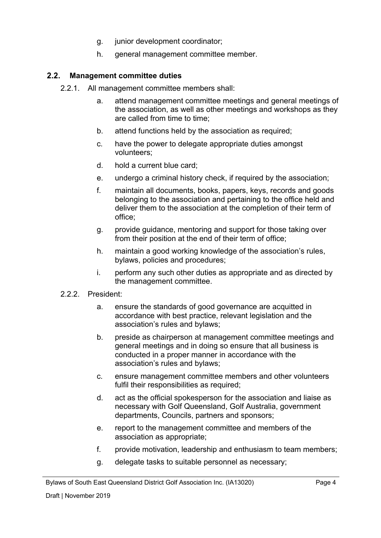- g. junior development coordinator;
- h. general management committee member.

#### $2.2$ **Management committee duties**

- 2.2.1. All management committee members shall:
	- a. attend management committee meetings and general meetings of the association, as well as other meetings and workshops as they are called from time to time;
	- b. attend functions held by the association as required;
	- c. have the power to delegate appropriate duties amongst volunteers;
	- d. hold a current blue card;
	- e. undergo a criminal history check, if required by the association;
	- f. maintain all documents, books, papers, keys, records and goods belonging to the association and pertaining to the office held and deliver them to the association at the completion of their term of office;
	- g. provide guidance, mentoring and support for those taking over from their position at the end of their term of office;
	- h. maintain a good working knowledge of the association's rules, bylaws, policies and procedures;
	- i. perform any such other duties as appropriate and as directed by the management committee.
- 2.2.2. President:
	- a. ensure the standards of good governance are acquitted in accordance with best practice, relevant legislation and the association's rules and bylaws;
	- b. preside as chairperson at management committee meetings and general meetings and in doing so ensure that all business is conducted in a proper manner in accordance with the association's rules and bylaws;
	- c. ensure management committee members and other volunteers fulfil their responsibilities as required;
	- d. act as the official spokesperson for the association and liaise as necessary with Golf Queensland, Golf Australia, government departments, Councils, partners and sponsors;
	- e. report to the management committee and members of the association as appropriate;
	- f. provide motivation, leadership and enthusiasm to team members;
	- g. delegate tasks to suitable personnel as necessary;

Bylaws of South East Queensland District Golf Association Inc. (IA13020)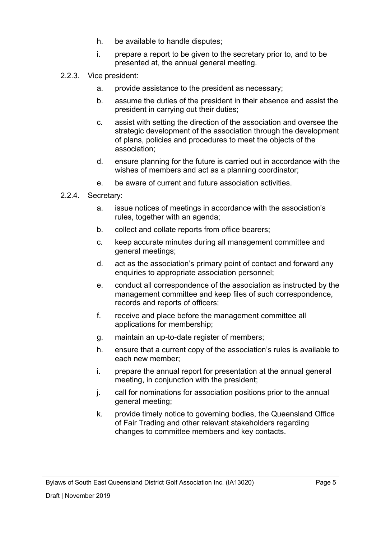- h. be available to handle disputes;
- i. prepare a report to be given to the secretary prior to, and to be presented at, the annual general meeting.
- 2.2.3. Vice president:
	- a. provide assistance to the president as necessary;
	- b. assume the duties of the president in their absence and assist the president in carrying out their duties;
	- c. assist with setting the direction of the association and oversee the strategic development of the association through the development of plans, policies and procedures to meet the objects of the association;
	- d. ensure planning for the future is carried out in accordance with the wishes of members and act as a planning coordinator;
	- e. be aware of current and future association activities.
- 2.2.4. Secretary:
	- a. issue notices of meetings in accordance with the association's rules, together with an agenda;
	- b. collect and collate reports from office bearers;
	- c. keep accurate minutes during all management committee and general meetings;
	- d. act as the association's primary point of contact and forward any enquiries to appropriate association personnel;
	- e. conduct all correspondence of the association as instructed by the management committee and keep files of such correspondence, records and reports of officers;
	- f. receive and place before the management committee all applications for membership;
	- g. maintain an up-to-date register of members;
	- h. ensure that a current copy of the association's rules is available to each new member;
	- i. prepare the annual report for presentation at the annual general meeting, in conjunction with the president;
	- j. call for nominations for association positions prior to the annual general meeting;
	- k. provide timely notice to governing bodies, the Queensland Office of Fair Trading and other relevant stakeholders regarding changes to committee members and key contacts.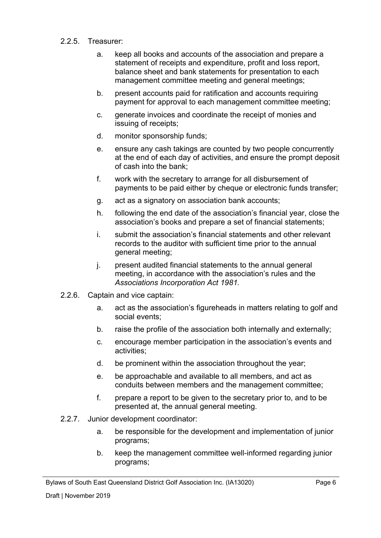#### 2.2.5. Treasurer:

- a. keep all books and accounts of the association and prepare a statement of receipts and expenditure, profit and loss report, balance sheet and bank statements for presentation to each management committee meeting and general meetings;
- b. present accounts paid for ratification and accounts requiring payment for approval to each management committee meeting;
- c. generate invoices and coordinate the receipt of monies and issuing of receipts;
- d. monitor sponsorship funds;
- e. ensure any cash takings are counted by two people concurrently at the end of each day of activities, and ensure the prompt deposit of cash into the bank;
- f. work with the secretary to arrange for all disbursement of payments to be paid either by cheque or electronic funds transfer;
- g. act as a signatory on association bank accounts;
- h. following the end date of the association's financial year, close the association's books and prepare a set of financial statements;
- i. submit the association's financial statements and other relevant records to the auditor with sufficient time prior to the annual general meeting;
- j. present audited financial statements to the annual general meeting, in accordance with the association's rules and the *Associations Incorporation Act 1981.*
- 2.2.6. Captain and vice captain:
	- a. act as the association's figureheads in matters relating to golf and social events;
	- b. raise the profile of the association both internally and externally;
	- c. encourage member participation in the association's events and activities;
	- d. be prominent within the association throughout the year;
	- e. be approachable and available to all members, and act as conduits between members and the management committee;
	- f. prepare a report to be given to the secretary prior to, and to be presented at, the annual general meeting.
- 2.2.7. Junior development coordinator:
	- a. be responsible for the development and implementation of junior programs;
	- b. keep the management committee well-informed regarding junior programs;

Bylaws of South East Queensland District Golf Association Inc. (IA13020)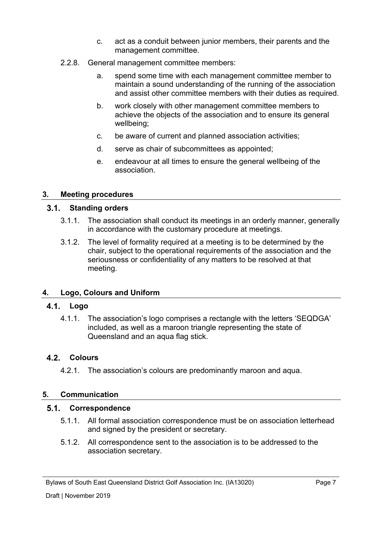- c. act as a conduit between junior members, their parents and the management committee.
- 2.2.8. General management committee members:
	- a. spend some time with each management committee member to maintain a sound understanding of the running of the association and assist other committee members with their duties as required.
	- b. work closely with other management committee members to achieve the objects of the association and to ensure its general wellbeing;
	- c. be aware of current and planned association activities;
	- d. serve as chair of subcommittees as appointed;
	- e. endeavour at all times to ensure the general wellbeing of the association.

#### **3. Meeting procedures**

#### **Standing orders**

- 3.1.1. The association shall conduct its meetings in an orderly manner, generally in accordance with the customary procedure at meetings.
- 3.1.2. The level of formality required at a meeting is to be determined by the chair, subject to the operational requirements of the association and the seriousness or confidentiality of any matters to be resolved at that meeting.

#### **4. Logo, Colours and Uniform**

#### **Logo**

4.1.1. The association's logo comprises a rectangle with the letters 'SEQDGA' included, as well as a maroon triangle representing the state of Queensland and an aqua flag stick.

#### **Colours**

4.2.1. The association's colours are predominantly maroon and aqua.

#### **5. Communication**

#### **Correspondence**

- 5.1.1. All formal association correspondence must be on association letterhead and signed by the president or secretary.
- 5.1.2. All correspondence sent to the association is to be addressed to the association secretary.

Bylaws of South East Queensland District Golf Association Inc. (IA13020)